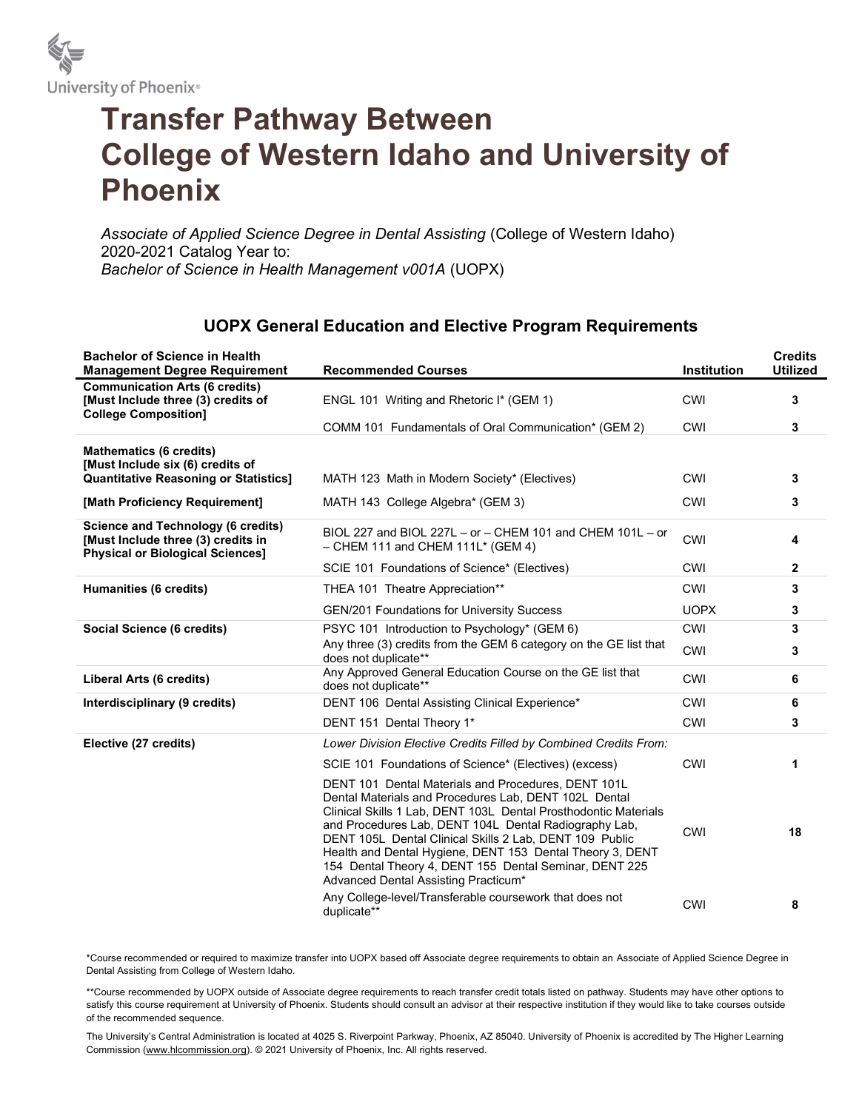

## Transfer Pathway Between College of Western Idaho and University of Phoenix

Associate of Applied Science Degree in Dental Assisting (College of Western Idaho) 2020-2021 Catalog Year to: Bachelor of Science in Health Management v001A (UOPX)

## UOPX General Education and Elective Program Requirements

| <b>Bachelor of Science in Health</b><br><b>Management Degree Requirement</b>                                               | <b>Recommended Courses</b>                                                                                                                                                                                                                                                                                                                                                                                                                                         | <b>Institution</b> | <b>Credits</b><br><b>Utilized</b> |
|----------------------------------------------------------------------------------------------------------------------------|--------------------------------------------------------------------------------------------------------------------------------------------------------------------------------------------------------------------------------------------------------------------------------------------------------------------------------------------------------------------------------------------------------------------------------------------------------------------|--------------------|-----------------------------------|
| <b>Communication Arts (6 credits)</b><br>[Must Include three (3) credits of<br><b>College Composition]</b>                 | ENGL 101 Writing and Rhetoric I* (GEM 1)                                                                                                                                                                                                                                                                                                                                                                                                                           | <b>CWI</b>         | 3                                 |
|                                                                                                                            | COMM 101 Fundamentals of Oral Communication* (GEM 2)                                                                                                                                                                                                                                                                                                                                                                                                               | CWI                | 3                                 |
| <b>Mathematics (6 credits)</b><br>[Must Include six (6) credits of                                                         |                                                                                                                                                                                                                                                                                                                                                                                                                                                                    |                    |                                   |
| <b>Quantitative Reasoning or Statistics]</b>                                                                               | MATH 123 Math in Modern Society* (Electives)                                                                                                                                                                                                                                                                                                                                                                                                                       | <b>CWI</b>         | 3                                 |
| [Math Proficiency Requirement]                                                                                             | MATH 143 College Algebra* (GEM 3)                                                                                                                                                                                                                                                                                                                                                                                                                                  | <b>CWI</b>         | 3                                 |
| <b>Science and Technology (6 credits)</b><br>[Must Include three (3) credits in<br><b>Physical or Biological Sciences]</b> | BIOL 227 and BIOL 227L - or - CHEM 101 and CHEM 101L - or<br>$-$ CHEM 111 and CHEM 111L* (GEM 4)                                                                                                                                                                                                                                                                                                                                                                   | CWI                | 4                                 |
|                                                                                                                            | SCIE 101 Foundations of Science* (Electives)                                                                                                                                                                                                                                                                                                                                                                                                                       | <b>CWI</b>         | $\mathbf{2}$                      |
| Humanities (6 credits)                                                                                                     | THEA 101 Theatre Appreciation**                                                                                                                                                                                                                                                                                                                                                                                                                                    | <b>CWI</b>         | 3                                 |
|                                                                                                                            | GEN/201 Foundations for University Success                                                                                                                                                                                                                                                                                                                                                                                                                         | <b>UOPX</b>        | 3                                 |
| Social Science (6 credits)                                                                                                 | PSYC 101 Introduction to Psychology* (GEM 6)                                                                                                                                                                                                                                                                                                                                                                                                                       | <b>CWI</b>         | 3                                 |
|                                                                                                                            | Any three (3) credits from the GEM 6 category on the GE list that<br>does not duplicate**                                                                                                                                                                                                                                                                                                                                                                          | CWI                | 3                                 |
| Liberal Arts (6 credits)                                                                                                   | Any Approved General Education Course on the GE list that<br>does not duplicate**                                                                                                                                                                                                                                                                                                                                                                                  | <b>CWI</b>         | 6                                 |
| Interdisciplinary (9 credits)                                                                                              | DENT 106 Dental Assisting Clinical Experience*                                                                                                                                                                                                                                                                                                                                                                                                                     | <b>CWI</b>         | 6                                 |
|                                                                                                                            | DENT 151 Dental Theory 1*                                                                                                                                                                                                                                                                                                                                                                                                                                          | CWI                | 3                                 |
| Elective (27 credits)                                                                                                      | Lower Division Elective Credits Filled by Combined Credits From:                                                                                                                                                                                                                                                                                                                                                                                                   |                    |                                   |
|                                                                                                                            | SCIE 101 Foundations of Science* (Electives) (excess)                                                                                                                                                                                                                                                                                                                                                                                                              | <b>CWI</b>         | 1                                 |
|                                                                                                                            | DENT 101 Dental Materials and Procedures, DENT 101L<br>Dental Materials and Procedures Lab, DENT 102L Dental<br>Clinical Skills 1 Lab, DENT 103L Dental Prosthodontic Materials<br>and Procedures Lab, DENT 104L Dental Radiography Lab,<br>DENT 105L Dental Clinical Skills 2 Lab, DENT 109 Public<br>Health and Dental Hygiene, DENT 153 Dental Theory 3, DENT<br>154 Dental Theory 4, DENT 155 Dental Seminar, DENT 225<br>Advanced Dental Assisting Practicum* | <b>CWI</b>         | 18                                |
|                                                                                                                            | Any College-level/Transferable coursework that does not<br>duplicate**                                                                                                                                                                                                                                                                                                                                                                                             | <b>CWI</b>         | 8                                 |

\*Course recommended or required to maximize transfer into UOPX based off Associate degree requirements to obtain an Associate of Applied Science Degree in Dental Assisting from College of Western Idaho.

\*\*Course recommended by UOPX outside of Associate degree requirements to reach transfer credit totals listed on pathway. Students may have other options to satisfy this course requirement at University of Phoenix. Students should consult an advisor at their respective institution if they would like to take courses outside of the recommended sequence.

The University's Central Administration is located at 4025 S. Riverpoint Parkway, Phoenix, AZ 85040. University of Phoenix is accredited by The Higher Learning Commission (www.hlcommission.org). © 2021 University of Phoenix, Inc. All rights reserved.